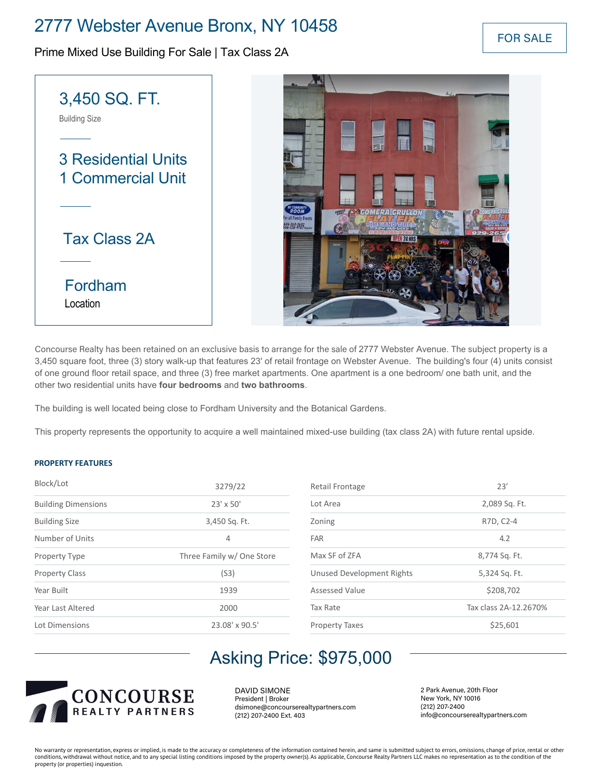## 2777 Webster Avenue Bronx, NY 10458

Prime Mixed Use Building For Sale | Tax Class 2A



Concourse Realty has been retained on an exclusive basis to arrange for the sale of 2777 Webster Avenue. The subject property is a 3,450 square foot, three (3) story walk-up that features 23' of retail frontage on Webster Avenue. The building's four (4) units consist of one ground floor retail space, and three (3) free market apartments. One apartment is a one bedroom/ one bath unit, and the other two residential units have **four bedrooms** and **two bathrooms**.

The building is well located being close to Fordham University and the Botanical Gardens.

This property represents the opportunity to acquire a well maintained mixed-use building (tax class 2A) with future rental upside.

### **PROPERTY FEATURES**

| Block/Lot                  | 3279/22                   |  |  |  |  |
|----------------------------|---------------------------|--|--|--|--|
| <b>Building Dimensions</b> | $23' \times 50'$          |  |  |  |  |
| <b>Building Size</b>       | 3,450 Sq. Ft.             |  |  |  |  |
| Number of Units            | 4                         |  |  |  |  |
| Property Type              | Three Family w/ One Store |  |  |  |  |
| <b>Property Class</b>      | (S3)                      |  |  |  |  |
| Year Built                 | 1939                      |  |  |  |  |
| Year Last Altered          | 2000                      |  |  |  |  |
| Lot Dimensions             | 23.08' x 90.5'            |  |  |  |  |

| Retail Frontage           | 23'<br>2,089 Sq. Ft.  |  |  |  |  |
|---------------------------|-----------------------|--|--|--|--|
| Lot Area                  |                       |  |  |  |  |
| Zoning                    | R7D, C2-4             |  |  |  |  |
| <b>FAR</b>                | 4.2                   |  |  |  |  |
| Max SF of ZFA             | 8,774 Sq. Ft.         |  |  |  |  |
| Unused Development Rights | 5,324 Sq. Ft.         |  |  |  |  |
| Assessed Value            | \$208,702             |  |  |  |  |
| Tax Rate                  | Tax class 2A-12.2670% |  |  |  |  |
| <b>Property Taxes</b>     | \$25.601              |  |  |  |  |

# Asking Price: \$975,000

![](_page_0_Picture_11.jpeg)

DAVID SIMONE President | Broker dsimone@concourserealtypartners.com (212) 207-2400 Ext. 403

2 Park Avenue, 20th Floor New York, NY 10016 (212) 207-2400 info@concourserealtypartners.com

No warranty or representation, express or implied, is made to the accuracy or completeness of the information contained herein, and same is submitted subject to errors, omissions, change of price, rental or other conditions, withdrawal without notice, and to any special listing conditions imposed by the property owner(s). As applicable, Concourse Realty Partners LLC makes no representation as to the condition of the property (or properties) inquestion.